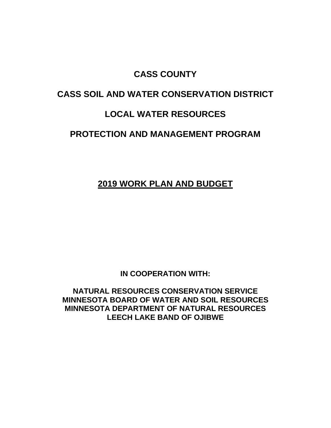# **CASS COUNTY**

# **CASS SOIL AND WATER CONSERVATION DISTRICT**

# **LOCAL WATER RESOURCES**

### **PROTECTION AND MANAGEMENT PROGRAM**

### **2019 WORK PLAN AND BUDGET**

**IN COOPERATION WITH:**

**NATURAL RESOURCES CONSERVATION SERVICE MINNESOTA BOARD OF WATER AND SOIL RESOURCES MINNESOTA DEPARTMENT OF NATURAL RESOURCES LEECH LAKE BAND OF OJIBWE**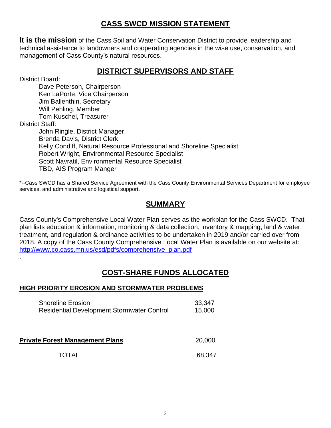### **CASS SWCD MISSION STATEMENT**

**It is the mission** of the Cass Soil and Water Conservation District to provide leadership and technical assistance to landowners and cooperating agencies in the wise use, conservation, and management of Cass County's natural resources.

### **DISTRICT SUPERVISORS AND STAFF**

District Board:

.

Dave Peterson, Chairperson Ken LaPorte, Vice Chairperson Jim Ballenthin, Secretary Will Pehling, Member Tom Kuschel, Treasurer District Staff: John Ringle, District Manager Brenda Davis, District Clerk Kelly Condiff, Natural Resource Professional and Shoreline Specialist Robert Wright, Environmental Resource Specialist Scott Navratil, Environmental Resource Specialist TBD, AIS Program Manger

\*--Cass SWCD has a Shared Service Agreement with the Cass County Environmental Services Department for employee services, and administrative and logistical support.

# **SUMMARY**

Cass County's Comprehensive Local Water Plan serves as the workplan for the Cass SWCD. That plan lists education & information, monitoring & data collection, inventory & mapping, land & water treatment, and regulation & ordinance activities to be undertaken in 2019 and/or carried over from 2018. A copy of the Cass County Comprehensive Local Water Plan is available on our website at: [http://www.co.cass.mn.us/esd/pdfs/comprehensive\\_plan.pdf](http://www.co.cass.mn.us/esd/pdfs/comprehensive_plan.pdf)

# **COST-SHARE FUNDS ALLOCATED**

#### **HIGH PRIORITY EROSION AND STORMWATER PROBLEMS**

| <b>Shoreline Erosion</b>                          | 33,347 |
|---------------------------------------------------|--------|
| <b>Residential Development Stormwater Control</b> | 15,000 |

**Private Forest Management Plans** 20,000

TOTAL 68,347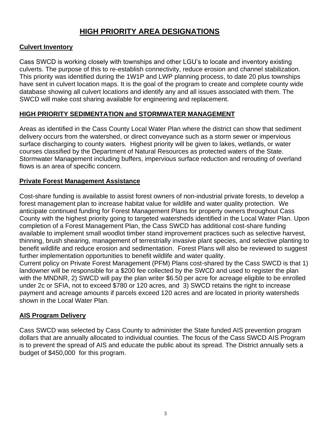### **HIGH PRIORITY AREA DESIGNATIONS**

#### **Culvert Inventory**

Cass SWCD is working closely with townships and other LGU's to locate and inventory existing culverts. The purpose of this to re-establish connectivity, reduce erosion and channel stabilization. This priority was identified during the 1W1P and LWP planning process, to date 20 plus townships have sent in culvert location maps. It is the goal of the program to create and complete county wide database showing all culvert locations and identify any and all issues associated with them. The SWCD will make cost sharing available for engineering and replacement.

#### **HIGH PRIORITY SEDIMENTATION and STORMWATER MANAGEMENT**

Areas as identified in the Cass County Local Water Plan where the district can show that sediment delivery occurs from the watershed, or direct conveyance such as a storm sewer or impervious surface discharging to county waters. Highest priority will be given to lakes, wetlands, or water courses classified by the Department of Natural Resources as protected waters of the State. Stormwater Management including buffers, impervious surface reduction and rerouting of overland flows is an area of specific concern.

#### **Private Forest Management Assistance**

Cost-share funding is available to assist forest owners of non-industrial private forests, to develop a forest management plan to increase habitat value for wildlife and water quality protection. We anticipate continued funding for Forest Management Plans for property owners throughout Cass County with the highest priority going to targeted watersheds identified in the Local Water Plan. Upon completion of a Forest Management Plan, the Cass SWCD has additional cost-share funding available to implement small woodlot timber stand improvement practices such as selective harvest, thinning, brush shearing, management of terrestrially invasive plant species, and selective planting to benefit wildlife and reduce erosion and sedimentation. Forest Plans will also be reviewed to suggest further implementation opportunities to benefit wildlife and water quality.

Current policy on Private Forest Management (PFM) Plans cost-shared by the Cass SWCD is that 1) landowner will be responsible for a \$200 fee collected by the SWCD and used to register the plan with the MNDNR, 2) SWCD will pay the plan writer \$6.50 per acre for acreage eligible to be enrolled under 2c or SFIA, not to exceed \$780 or 120 acres, and 3) SWCD retains the right to increase payment and acreage amounts if parcels exceed 120 acres and are located in priority watersheds shown in the Local Water Plan.

#### **AIS Program Delivery**

Cass SWCD was selected by Cass County to administer the State funded AIS prevention program dollars that are annually allocated to individual counties. The focus of the Cass SWCD AIS Program is to prevent the spread of AIS and educate the public about its spread. The District annually sets a budget of \$450,000 for this program.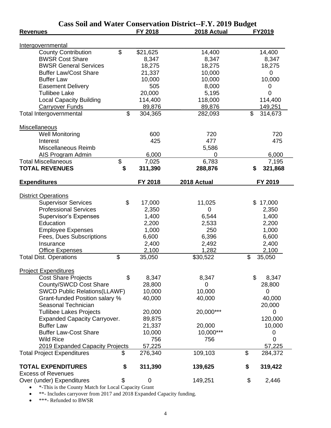| <b>Cass Soil and Water Conservation District--F.Y. 2019 Budget</b> |                |                  |             |    |             |  |  |
|--------------------------------------------------------------------|----------------|------------------|-------------|----|-------------|--|--|
| <b>Revenues</b>                                                    |                | FY 2018          | 2018 Actual |    | FY2019      |  |  |
|                                                                    |                |                  |             |    |             |  |  |
| Intergovernmental                                                  |                |                  |             |    |             |  |  |
| <b>County Contribution</b>                                         | $\mathfrak{L}$ | \$21,625         | 14,400      |    | 14,400      |  |  |
| <b>BWSR Cost Share</b>                                             |                | 8,347            | 8,347       |    | 8,347       |  |  |
| <b>BWSR General Services</b>                                       |                | 18,275           | 18,275      |    | 18,275      |  |  |
| <b>Buffer Law/Cost Share</b>                                       |                | 21,337           | 10,000      |    | 0           |  |  |
| <b>Buffer Law</b>                                                  |                | 10,000           | 10,000      |    | 10,000      |  |  |
| <b>Easement Delivery</b>                                           |                | 505              | 8,000       |    | 0           |  |  |
| <b>Tullibee Lake</b>                                               |                | 20,000           | 5,195       |    | $\mathbf 0$ |  |  |
| <b>Local Capacity Building</b>                                     |                | 114,400          | 118,000     |    | 114,400     |  |  |
| <b>Carryover Funds</b>                                             |                | 89,876           | 89,876      |    | 149,251     |  |  |
| Total Intergovernmental                                            | \$             | 304,365          | 282,093     | \$ | 314,673     |  |  |
| Miscellaneous                                                      |                |                  |             |    |             |  |  |
| <b>Well Monitoring</b>                                             |                | 600              | 720         |    | 720         |  |  |
| Interest                                                           |                | 425              | 477         |    | 475         |  |  |
|                                                                    |                |                  |             |    |             |  |  |
| Miscellaneous Reimb                                                |                |                  | 5,586       |    |             |  |  |
| <b>AIS Program Admin</b>                                           |                | 6,000            | 0           |    | 6,000       |  |  |
| <b>Total Miscellaneous</b>                                         | \$             | 7,025            | 6,783       |    | 7,195       |  |  |
| <b>TOTAL REVENUES</b>                                              | \$             | 311,390          | 288,876     | \$ | 321,868     |  |  |
| <b>Expenditures</b>                                                |                | FY 2018          | 2018 Actual |    | FY 2019     |  |  |
|                                                                    |                |                  |             |    |             |  |  |
| <b>District Operations</b>                                         |                |                  |             |    |             |  |  |
| <b>Supervisor Services</b>                                         | \$             | 17,000           | 11,025      |    | \$17,000    |  |  |
| <b>Professional Services</b>                                       |                | 2,350            | $\mathbf 0$ |    | 2,350       |  |  |
| <b>Supervisor's Expenses</b>                                       |                | 1,400            | 6,544       |    | 1,400       |  |  |
| Education                                                          |                | 2,200            | 2,533       |    | 2,200       |  |  |
| <b>Employee Expenses</b>                                           |                | 1,000            | 250         |    | 1,000       |  |  |
| Fees, Dues Subscriptions                                           |                | 6,600            | 6,396       |    | 6,600       |  |  |
| Insurance                                                          |                | 2,400            | 2,492       |    | 2,400       |  |  |
| Office Expenses                                                    |                | 2,100            | 1,282       |    | 2,100       |  |  |
| <b>Total Dist. Operations</b>                                      | \$             | 35,050           | \$30,522    | \$ | 35,050      |  |  |
|                                                                    |                |                  |             |    |             |  |  |
| <b>Project Expenditures</b>                                        |                |                  |             |    |             |  |  |
| <b>Cost Share Projects</b>                                         | \$             | 8,347            | 8,347       | \$ | 8,347       |  |  |
| County/SWCD Cost Share                                             |                | 28,800           | 0           |    | 28,800      |  |  |
| <b>SWCD Public Relations(LLAWF)</b>                                |                | 10,000           | 10,000      |    | 0           |  |  |
| Grant-funded Position salary %                                     |                | 40,000           | 40,000      |    | 40,000      |  |  |
| Seasonal Technician                                                |                |                  |             |    | 20,000      |  |  |
| <b>Tullibee Lakes Projects</b>                                     |                | 20,000           | 20,000***   |    | 0           |  |  |
| <b>Expanded Capacity Carryover.</b>                                |                | 89,875           |             |    | 120,000     |  |  |
| <b>Buffer Law</b>                                                  |                | 21,337           | 20,000      |    | 10,000      |  |  |
| <b>Buffer Law-Cost Share</b>                                       |                | 10,000           | 10,000***   |    | 0           |  |  |
| <b>Wild Rice</b>                                                   |                | 756              | 756         |    | 0           |  |  |
| 2019 Expanded Capacity Projects                                    |                | 57,225           |             |    | 57,225      |  |  |
| <b>Total Project Expenditures</b>                                  | \$             | 276,340          | 109,103     | \$ | 284,372     |  |  |
| <b>TOTAL EXPENDITURES</b>                                          | \$             | 311,390          | 139,625     | \$ | 319,422     |  |  |
| <b>Excess of Revenues</b>                                          |                |                  |             |    |             |  |  |
| Over (under) Expenditures                                          | \$             | $\boldsymbol{0}$ | 149,251     | \$ | 2,446       |  |  |
|                                                                    |                |                  |             |    |             |  |  |

• \*-This is the County Match for Local Capacity Grant

\*\*- Includes carryover from 2017 and 2018 Expanded Capacity funding.

\*\*\*- Refunded to BWSR